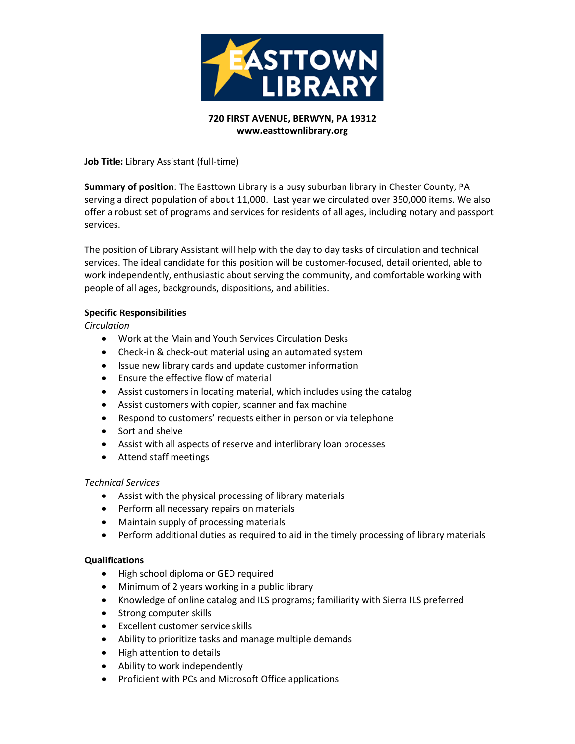

# **720 FIRST AVENUE, BERWYN, PA 19312 www.easttownlibrary.org**

**Job Title:** Library Assistant (full-time)

**Summary of position**: The Easttown Library is a busy suburban library in Chester County, PA serving a direct population of about 11,000. Last year we circulated over 350,000 items. We also offer a robust set of programs and services for residents of all ages, including notary and passport services.

The position of Library Assistant will help with the day to day tasks of circulation and technical services. The ideal candidate for this position will be customer-focused, detail oriented, able to work independently, enthusiastic about serving the community, and comfortable working with people of all ages, backgrounds, dispositions, and abilities.

## **Specific Responsibilities**

*Circulation*

- Work at the Main and Youth Services Circulation Desks
- Check-in & check-out material using an automated system
- Issue new library cards and update customer information
- Ensure the effective flow of material
- Assist customers in locating material, which includes using the catalog
- Assist customers with copier, scanner and fax machine
- Respond to customers' requests either in person or via telephone
- Sort and shelve
- Assist with all aspects of reserve and interlibrary loan processes
- Attend staff meetings

#### *Technical Services*

- Assist with the physical processing of library materials
- Perform all necessary repairs on materials
- Maintain supply of processing materials
- Perform additional duties as required to aid in the timely processing of library materials

#### **Qualifications**

- High school diploma or GED required
- Minimum of 2 years working in a public library
- Knowledge of online catalog and ILS programs; familiarity with Sierra ILS preferred
- Strong computer skills
- Excellent customer service skills
- Ability to prioritize tasks and manage multiple demands
- High attention to details
- Ability to work independently
- Proficient with PCs and Microsoft Office applications